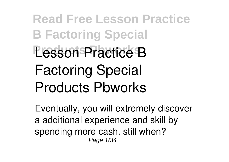**Read Free Lesson Practice B Factoring Special Lesson Practice B Factoring Special Products Pbworks**

Eventually, you will extremely discover a additional experience and skill by spending more cash. still when? Page 1/34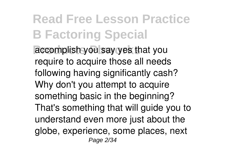**Read Free Lesson Practice B Factoring Special** accomplish you say yes that you require to acquire those all needs following having significantly cash? Why don't you attempt to acquire something basic in the beginning? That's something that will guide you to understand even more just about the globe, experience, some places, next Page 2/34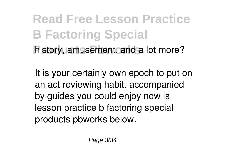**Read Free Lesson Practice B Factoring Special** history, amusement, and a lot more?

It is your certainly own epoch to put on an act reviewing habit. accompanied by guides you could enjoy now is **lesson practice b factoring special products pbworks** below.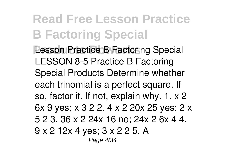**Read Free Lesson Practice B Factoring Special Lesson Practice B Factoring Special** LESSON 8-5 Practice B Factoring Special Products Determine whether each trinomial is a perfect square. If so, factor it. If not, explain why. 1. x 2 6x 9 yes; x 3 2 2. 4 x 2 20x 25 yes; 2 x 5 2 3. 36 x 2 24x 16 no; 24x 2 6x 4 4. 9 x 2 12x 4 yes; 3 x 2 2 5. A Page 4/34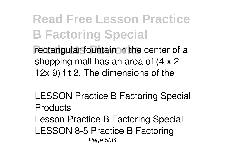**Read Free Lesson Practice B Factoring Special** rectangular fountain in the center of a shopping mall has an area of (4 x 2 12x 9) f t 2. The dimensions of the

**LESSON Practice B Factoring Special Products**

Lesson Practice B Factoring Special LESSON 8-5 Practice B Factoring Page 5/34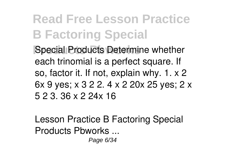**Read Free Lesson Practice B Factoring Special Special Products Determine whether** each trinomial is a perfect square. If so, factor it. If not, explain why. 1. x 2 6x 9 yes; x 3 2 2. 4 x 2 20x 25 yes; 2 x 5 2 3. 36 x 2 24x 16

**Lesson Practice B Factoring Special Products Pbworks ...**

Page 6/34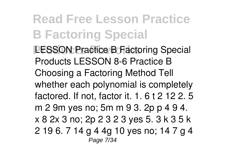**Read Free Lesson Practice B Factoring Special LESSON Practice B Factoring Special** Products LESSON 8-6 Practice B Choosing a Factoring Method Tell whether each polynomial is completely factored. If not, factor it. 1. 6 t 2 12 2. 5 m 2 9m yes no; 5m m 9 3. 2p p 4 9 4. x 8 2x 3 no; 2p 2 3 2 3 yes 5. 3 k 3 5 k 2 19 6. 7 14 g 4 4g 10 yes no; 14 7 g 4 Page 7/34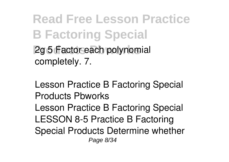**Read Free Lesson Practice B Factoring Special 2g 5 Factor each polynomial** completely. 7.

**Lesson Practice B Factoring Special Products Pbworks** Lesson Practice B Factoring Special LESSON 8-5 Practice B Factoring Special Products Determine whether Page 8/34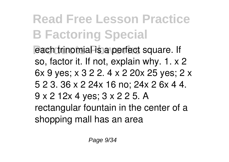**Read Free Lesson Practice B Factoring Special Products** Pach trinomial is a perfect square. If so, factor it. If not, explain why. 1. x 2 6x 9 yes; x 3 2 2. 4 x 2 20x 25 yes; 2 x 5 2 3. 36 x 2 24x 16 no; 24x 2 6x 4 4. 9 x 2 12x 4 yes; 3 x 2 2 5. A rectangular fountain in the center of a shopping mall has an area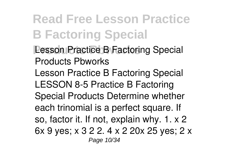**Read Free Lesson Practice B Factoring Special Lesson Practice B Factoring Special Products Pbworks** Lesson Practice B Factoring Special LESSON 8-5 Practice B Factoring Special Products Determine whether each trinomial is a perfect square. If so, factor it. If not, explain why. 1. x 2 6x 9 yes; x 3 2 2. 4 x 2 20x 25 yes; 2 x Page 10/34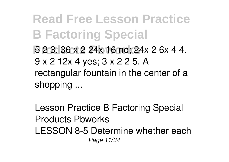**Read Free Lesson Practice B Factoring Special Products Pbworks** 5 2 3. 36 x 2 24x 16 no; 24x 2 6x 4 4. 9 x 2 12x 4 yes; 3 x 2 2 5. A rectangular fountain in the center of a shopping ...

**Lesson Practice B Factoring Special Products Pbworks** LESSON 8-5 Determine whether each Page 11/34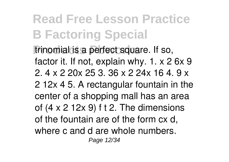**Read Free Lesson Practice B Factoring Special** trinomial is a perfect square. If so, factor it. If not, explain why. 1. x 2 6x 9 2. 4 x 2 20x 25 3. 36 x 2 24x 16 4. 9 x 2 12x 4 5. A rectangular fountain in the center of a shopping mall has an area of (4 x 2 12x 9) f t 2. The dimensions of the fountain are of the form cx d, where c and d are whole numbers. Page 12/34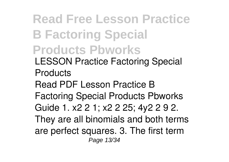**Read Free Lesson Practice B Factoring Special Products Pbworks LESSON Practice Factoring Special Products** Read PDF Lesson Practice B Factoring Special Products Pbworks Guide 1. x2 2 1; x2 2 25; 4y2 2 9 2. They are all binomials and both terms are perfect squares. 3. The first term Page 13/34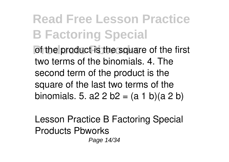**Read Free Lesson Practice B Factoring Special Product is the square of the first** two terms of the binomials. 4. The second term of the product is the square of the last two terms of the binomials. 5. a2 2 b2 =  $(a 1 b)(a 2 b)$ 

**Lesson Practice B Factoring Special Products Pbworks**

Page 14/34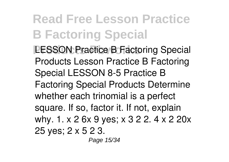**Read Free Lesson Practice B Factoring Special LESSON Practice B Factoring Special** Products Lesson Practice B Factoring Special LESSON 8-5 Practice B Factoring Special Products Determine whether each trinomial is a perfect square. If so, factor it. If not, explain why. 1. x 2 6x 9 yes; x 3 2 2. 4 x 2 20x 25 yes; 2 x 5 2 3. Page 15/34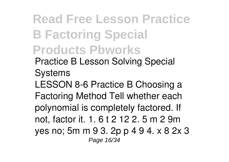**Read Free Lesson Practice B Factoring Special Products Pbworks Practice B Lesson Solving Special Systems** LESSON 8-6 Practice B Choosing a Factoring Method Tell whether each polynomial is completely factored. If not, factor it. 1. 6 t 2 12 2. 5 m 2 9m yes no; 5m m 9 3. 2p p 4 9 4. x 8 2x 3 Page 16/34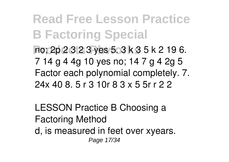**Read Free Lesson Practice B Factoring Special Products Pbworks** no; 2p 2 3 2 3 yes 5. 3 k 3 5 k 2 19 6. 7 14 g 4 4g 10 yes no; 14 7 g 4 2g 5 Factor each polynomial completely. 7. 24x 40 8. 5 r 3 10r 8 3 x 5 5r r 2 2

**LESSON Practice B Choosing a Factoring Method** d, is measured in feet over xyears. Page 17/34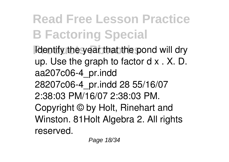**Read Free Lesson Practice B Factoring Special Reducts Products** *Reducts Figures Pond will dry* up. Use the graph to factor d x . X. D. aa207c06-4\_pr.indd 28207c06-4\_pr.indd 28 55/16/07 2:38:03 PM/16/07 2:38:03 PM. Copyright © by Holt, Rinehart and Winston. 81Holt Algebra 2. All rights reserved.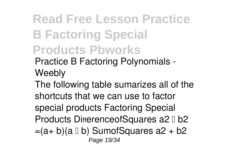**Read Free Lesson Practice B Factoring Special Products Pbworks Practice B Factoring Polynomials - Weebly**

The following table sumarizes all of the shortcuts that we can use to factor special products Factoring Special Products DifferenceofSquares a2 0 b2  $=(a+b)(a \Box b)$  SumofSquares  $a2 + b2$ Page 19/34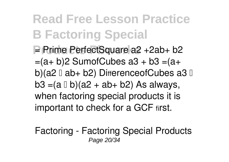**Read Free Lesson Practice B Factoring Special Prime PerfectSquare a2 +2ab+ b2**  $=(a+b)2$  SumofCubes  $a3 + b3 = (a+b)$ b)(a2  $\Box$  ab+ b2) DifferenceofCubes a3  $\Box$  $b3 = (a \Box b)(a2 + ab + b2)$  As always, when factoring special products it is important to check for a GCF first.

**Factoring - Factoring Special Products** Page 20/34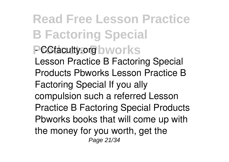**Read Free Lesson Practice B Factoring Special PCCfaculty.org** bworks Lesson Practice B Factoring Special Products Pbworks Lesson Practice B Factoring Special If you ally compulsion such a referred Lesson Practice B Factoring Special Products Pbworks books that will come up with the money for you worth, get the Page 21/34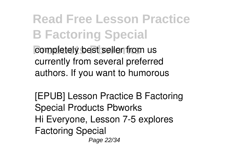**Read Free Lesson Practice B Factoring Special** completely best seller from us currently from several preferred authors. If you want to humorous

**[EPUB] Lesson Practice B Factoring Special Products Pbworks** Hi Everyone, Lesson 7-5 explores Factoring Special Page 22/34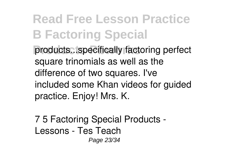**Read Free Lesson Practice B Factoring Special** products...specifically factoring perfect square trinomials as well as the difference of two squares. I've included some Khan videos for guided practice. Enjoy! Mrs. K.

**7 5 Factoring Special Products - Lessons - Tes Teach** Page 23/34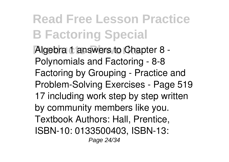**Read Free Lesson Practice B Factoring Special Algebra 1 answers to Chapter 8 -**Polynomials and Factoring - 8-8 Factoring by Grouping - Practice and Problem-Solving Exercises - Page 519 17 including work step by step written by community members like you. Textbook Authors: Hall, Prentice, ISBN-10: 0133500403, ISBN-13: Page 24/34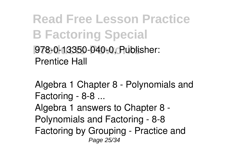**Read Free Lesson Practice B Factoring Special Products Pbworks** 978-0-13350-040-0, Publisher: Prentice Hall

**Algebra 1 Chapter 8 - Polynomials and Factoring - 8-8 ...** Algebra 1 answers to Chapter 8 - Polynomials and Factoring - 8-8 Factoring by Grouping - Practice and Page 25/34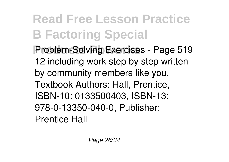**Read Free Lesson Practice B Factoring Special Problem-Solving Exercises - Page 519** 12 including work step by step written by community members like you. Textbook Authors: Hall, Prentice, ISBN-10: 0133500403, ISBN-13: 978-0-13350-040-0, Publisher: Prentice Hall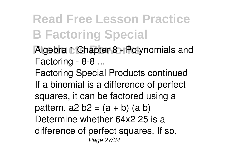## **Read Free Lesson Practice B Factoring Special**

- **Algebra 1 Chapter 8 Polynomials and Factoring - 8-8 ...**
- Factoring Special Products continued If a binomial is a difference of perfect squares, it can be factored using a pattern.  $a2 b2 = (a + b) (a b)$ Determine whether 64x2 25 is a difference of perfect squares. If so, Page 27/34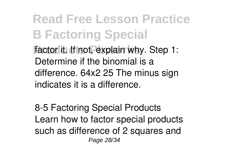**Read Free Lesson Practice B Factoring Special** factor it. If not, explain why. Step 1: Determine if the binomial is a difference. 64x2 25 The minus sign indicates it is a difference.

**8-5 Factoring Special Products** Learn how to factor special products such as difference of 2 squares and Page 28/34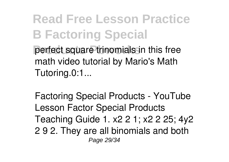**Read Free Lesson Practice B Factoring Special** perfect square trinomials in this free math video tutorial by Mario's Math Tutoring.0:1...

**Factoring Special Products - YouTube** Lesson Factor Special Products Teaching Guide 1. x2 2 1; x2 2 25; 4y2 2 9 2. They are all binomials and both Page 29/34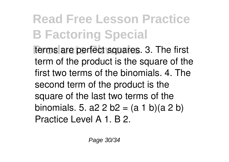**Read Free Lesson Practice B Factoring Special** terms are perfect squares. 3. The first term of the product is the square of the first two terms of the binomials. 4. The second term of the product is the square of the last two terms of the binomials. 5. a2 2 b2 =  $(a 1 b)(a 2 b)$ Practice Level A 1. B 2.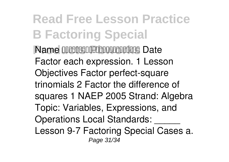**Read Free Lesson Practice B Factoring Special Name MMMMMMMMMMMMMMMMMMMMMMMMMMMMMM** Factor each expression. 1 Lesson Objectives Factor perfect-square trinomials 2 Factor the difference of squares 1 NAEP 2005 Strand: Algebra Topic: Variables, Expressions, and Operations Local Standards: \_\_\_\_\_ Lesson 9-7 Factoring Special Cases a. Page 31/34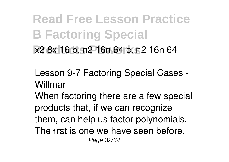**Read Free Lesson Practice B Factoring Special Products Pbworks** x2 8x 16 b. n2 16n 64 c. n2 16n 64

**Lesson 9-7 Factoring Special Cases - Willmar**

When factoring there are a few special products that, if we can recognize them, can help us factor polynomials. The first is one we have seen before. Page 32/34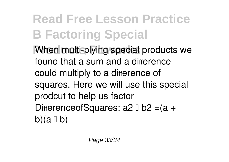**Read Free Lesson Practice B Factoring Special When multi-plying special products we** found that a sum and a difference could multiply to a difference of squares. Here we will use this special prodcut to help us factor DifferenceofSquares: a2 0 b2 = (a + b)(a  $\mathbb{I}$  b)